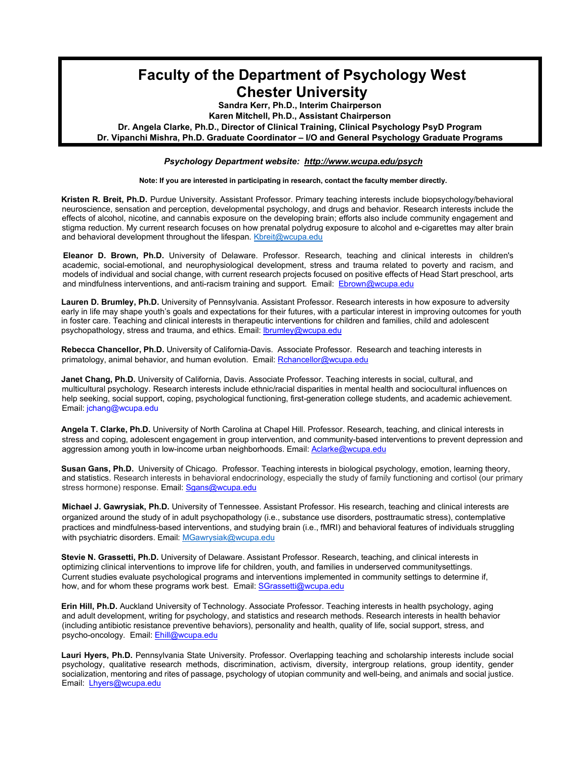## **Faculty of the Department of Psychology West Chester University**

**Sandra Kerr, Ph.D., Interim Chairperson**

**Karen Mitchell, Ph.D., Assistant Chairperson**

**Dr. Angela Clarke, Ph.D., Director of Clinical Training, Clinical Psychology PsyD Program**

**Dr. Vipanchi Mishra, Ph.D. Graduate Coordinator – I/O and General Psychology Graduate Programs**

*Psychology Department website: <http://www.wcupa.edu/psych>*

**Note: If you are interested in participating in research, contact the faculty member directly.**

**Kristen R. Breit, Ph.D.** Purdue University. Assistant Professor. Primary teaching interests include biopsychology/behavioral neuroscience, sensation and perception, developmental psychology, and drugs and behavior. Research interests include the effects of alcohol, nicotine, and cannabis exposure on the developing brain; efforts also include community engagement and stigma reduction. My current research focuses on how prenatal polydrug exposure to alcohol and e-cigarettes may alter brain and behavioral development throughout the lifespan. [Kbreit@wcupa.edu](mailto:Kbreit@wcupa.edu)

**Eleanor D. Brown, Ph.D.** University of Delaware. Professor. Research, teaching and clinical interests in children's academic, social-emotional, and neurophysiological development, stress and trauma related to poverty and racism, and models of individual and social change, with current research projects focused on positive effects of Head Start preschool, arts and mindfulness interventions, and anti-racism training and support. Email: [Ebrown@wcupa.edu](mailto:Ebrown@wcupa.edu)

**Lauren D. Brumley, Ph.D.** University of Pennsylvania. Assistant Professor. Research interests in how exposure to adversity early in life may shape youth's goals and expectations for their futures, with a particular interest in improving outcomes for youth in foster care. Teaching and clinical interests in therapeutic interventions for children and families, child and adolescent psychopathology, stress and trauma, and ethics. Email: **[lbrumley@wcupa.edu](mailto:lbrumley@wcupa.edu)** 

**Rebecca Chancellor, Ph.D.** University of California-Davis. Associate Professor. Research and teaching interests in primatology, animal behavior, and human evolution. Email[: Rchancellor@wcupa.edu](mailto:Rchancellor@wcupa.edu)

**Janet Chang, Ph.D.** University of California, Davis. Associate Professor. Teaching interests in social, cultural, and multicultural psychology. Research interests include ethnic/racial disparities in mental health and sociocultural influences on help seeking, social support, coping, psychological functioning, first-generation college students, and academic achievement. Email: [jchang@wcupa.edu](mailto:jchang@wcupa.edu)

**Angela T. Clarke, Ph.D.** University of North Carolina at Chapel Hill. Professor. Research, teaching, and clinical interests in stress and coping, adolescent engagement in group intervention, and community-based interventions to prevent depression and aggression among youth in low-income urban neighborhoods. Email: [Aclarke@wcupa.edu](mailto:Aclarke@wcupa.edu)

**Susan Gans, Ph.D.** University of Chicago. Professor. Teaching interests in biological psychology, emotion, learning theory, and statistics. Research interests in behavioral endocrinology, especially the study of family functioning and cortisol (our primary stress hormone) response. Email: [Sgans@wcupa.edu](mailto:Sgans@wcupa.edu)

**Michael J. Gawrysiak, Ph.D.** University of Tennessee. Assistant Professor. His research, teaching and clinical interests are organized around the study of in adult psychopathology (i.e., substance use disorders, posttraumatic stress), contemplative practices and mindfulness-based interventions, and studying brain (i.e., fMRI) and behavioral features of individuals struggling with psychiatric disorders. Email: [MGawrysiak@wcupa.edu](mailto:MGawrysiak@wcupa.edu)

**Stevie N. Grassetti, Ph.D.** University of Delaware. Assistant Professor. Research, teaching, and clinical interests in optimizing clinical interventions to improve life for children, youth, and families in underserved communitysettings. Current studies evaluate psychological programs and interventions implemented in community settings to determine if, how, and for whom these programs work best. Email: [SGrassetti@wcupa.edu](mailto:SGrassetti@wcupa.edu)

**Erin Hill, Ph.D.** Auckland University of Technology. Associate Professor. Teaching interests in health psychology, aging and adult development, writing for psychology, and statistics and research methods. Research interests in health behavior (including antibiotic resistance preventive behaviors), personality and health, quality of life, social support, stress, and psycho-oncology. Email: [Ehill@wcupa.edu](mailto:Ehill@wcupa.edu)

**Lauri Hyers, Ph.D.** Pennsylvania State University. Professor. Overlapping teaching and scholarship interests include social psychology, qualitative research methods, discrimination, activism, diversity, intergroup relations, group identity, gender socialization, mentoring and rites of passage, psychology of utopian community and well-being, and animals and social justice. Email: [Lhyers@wcupa.edu](mailto:Lhyers@wcupa.edu)